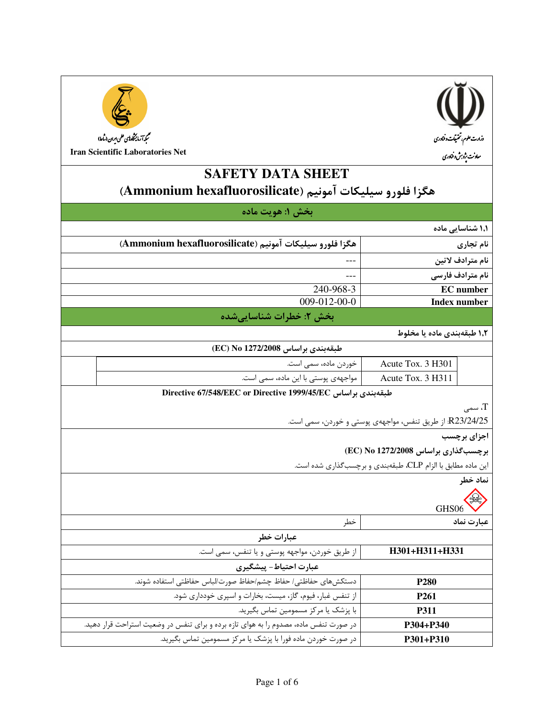



**Iran Scientific Laboratories Net** 

# **SAFETY DATA SHEET** هكزا فلورو سيليكات آمونيم (Ammonium hexafluorosilicate)

|                             |                                                             | بخش ۱: هويت ماده                                                                      |  |
|-----------------------------|-------------------------------------------------------------|---------------------------------------------------------------------------------------|--|
| ۱٫۱ شناسایی ماده            |                                                             |                                                                                       |  |
| نام تجاري                   |                                                             | هگزا فلورو سيليكات آمونيم (Ammonium hexafluorosilicate)                               |  |
| نام مترادف لاتين            |                                                             |                                                                                       |  |
| نام مترادف فارسى            |                                                             |                                                                                       |  |
| <b>EC</b> number            |                                                             | 240-968-3                                                                             |  |
| <b>Index number</b>         |                                                             | 009-012-00-0                                                                          |  |
|                             |                                                             | بخش ٢: خطرات شناسايي شده                                                              |  |
|                             | ۱٫۲ طبقهبندی ماده یا مخلوط                                  |                                                                                       |  |
|                             |                                                             | طبقەبندى براساس EC) No 1272/2008                                                      |  |
|                             | Acute Tox. 3 H301                                           | خوردن ماده، سمی است.                                                                  |  |
|                             | Acute Tox. 3 H311                                           | مواجههی پوستی با این ماده، سمی است.                                                   |  |
|                             |                                                             | Directive 67/548/EEC or Directive 1999/45/EC حلبقهبندی براساس                         |  |
| $_{\rm T}$ ، سمى $_{\rm T}$ |                                                             |                                                                                       |  |
|                             | R23/24/25: از طريق تنفس، مواجههي پوستي و خوردن، سمي است.    |                                                                                       |  |
| اجزای برچسب                 |                                                             |                                                                                       |  |
|                             | برچسب گذاری براساس EC) No 1272/2008                         |                                                                                       |  |
|                             | این ماده مطابق با الزام CLP، طبقهبندی و برچسبگذاری شده است. |                                                                                       |  |
| نماد خطر                    |                                                             |                                                                                       |  |
|                             |                                                             |                                                                                       |  |
| عبارت نماد                  | GHS06                                                       | خطر                                                                                   |  |
|                             |                                                             | عبارات خطر                                                                            |  |
|                             | H301+H311+H331                                              | از طريق خوردن، مواجهه پوستي و يا تنفس، سمي است.                                       |  |
|                             |                                                             | عبارت احتياط- پيشگيري                                                                 |  |
|                             | P <sub>280</sub>                                            | دستكشهاى حفاظتى/حفاظ چشم/حفاظ صورت/لباس حفاظتى استفاده شوند.                          |  |
|                             | P <sub>261</sub>                                            | از تنفس غبار، فیوم، گاز، میست، بخارات و اسپری خودداری شود.                            |  |
|                             | P311                                                        | با پزشک یا مرکز مسمومین تماس بگیرید.                                                  |  |
|                             | P304+P340                                                   | در صورت تنفس ماده، مصدوم را به هوای تازه برده و برای تنفس در وضعیت استراحت قرار دهید. |  |
|                             | P301+P310                                                   | در صورت خوردن ماده فورا با پزشک یا مرکز مسمومین تماس بگیرید.                          |  |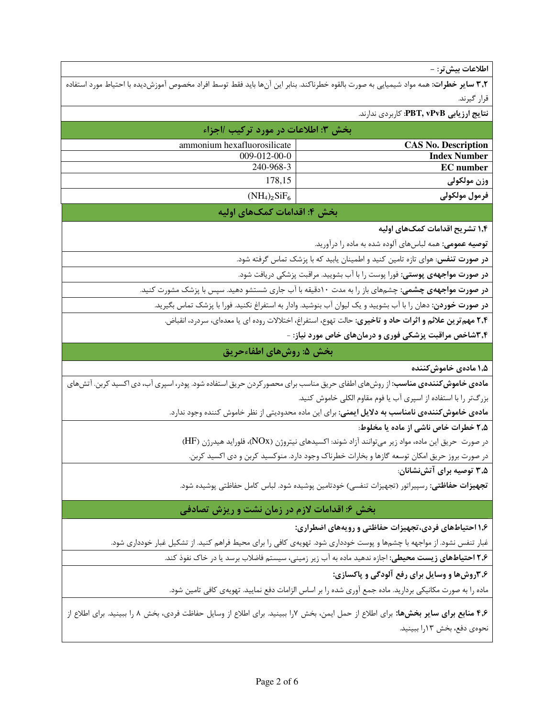اطلاعات بيش تر: -

**٣٫٢ ساير خطرات**: همه مواد شيميايي به صورت بالقوه خطرناكند. بنابر اين آنها بايد فقط توسط افراد مخصوص آموزشديده با احتياط مورد استفاده قرار گیرند.

**نتایج ارزیابی PBT, vPvB:** کاربردی ندارند.

|                            | بخش ٣: اطلاعات در مورد تركيب /اجزاء |
|----------------------------|-------------------------------------|
| <b>CAS No. Description</b> | ammonium hexafluorosilicate         |
| <b>Index Number</b>        | $009-012-00-0$                      |
| <b>EC</b> number           | 240-968-3                           |
| وزن مولكولي                | 178.15                              |
| فرمول مولكولى              | $(NH_4)_2SiF_6$                     |
|                            |                                     |

## بخش ۴: اقدامات کمک@ای اولیه

۱٫۴ تشریح اقدامات کمک های اولیه

**توصیه عمومی:** همه لباسهای آلوده شده به ماده را درآورید.

**در صورت تنفس**: هوای تازه تامین کنید و اطمینان یابید که با پزشک تماس گرفته شود.

**در صورت مواجههی پوستی:** فورا پوست را با آب بشویید. مراقبت پزشکی دریافت شود.

**در صورت مواجههی چشمی**: چشمهای باز را به مدت ۱۰دقیقه با آب جاری شستشو دهید. سپس با پزشک مشورت کنید.

**در صورت خوردن:** دهان را با آب بشویید و یک لیوان آب بنوشید. وادار به استفراغ نکنید. فورا با پزشک تماس بگیرید.

**۲٫۴ مهم ترین علائم و اثرات حاد و تاخیری:** حالت تهوع، استفراغ، اختلالات روده ای یا معدهای، سردرد، انقباض.

۰٫۴شاخص مراقبت پزشکی فوری و درمانهای خاص مورد نیاز: -

بخش ۵: روشهای اطفاءحریق

۱٫۵ مادەي خاموش كنندە

م**ادهی خاموش کنندهی مناسب**: از روشهای اطفای حریق مناسب برای محصور کردن حریق استفاده شود. پودر، اسپری آب، دی اکسید کربن. آتشهای

بزرگتر را با استفاده از اسپری آب یا فوم مقاوم الکلی خاموش کنید.

**مادهی خاموش کنندهی نامناسب به دلایل ایمنی**: برای این ماده محدودیتی از نظر خاموش کننده وجود ندارد.

۲٫۵ خطرات خاص ناشی از ماده یا مخلوط:

در صورت حريق اين ماده، مواد زير مي توانند آزاد شوند: اكسيدهاي نيتروژن (NOx)، فلورايد هيدرژن (HF)

در صورت بروز حریق امکان توسعه گازها و بخارات خطرناک وجود دارد. منوکسید کربن و دی اکسید کربن.

۲٫۵ توصیه برای آتش;نشانان:

**تجهيزات حفاظتي**: رسپيراتور (تجهيزات تنفسي) خودتامين پوشيده شود. لباس كامل حفاظتي پوشيده شود.

## بخش ۶: اقدامات لازم در زمان نشت و ریزش تصادفی

۱٫۶ احتیاطهای فردی،تجهیزات حفاظتی و رویههای اضطراری:

غبار تنفس نشود. از مواجهه با چشمها و پوست خودداری شود. تهویهی کافی را برای محیط فراهم کنید. از تشکیل غبار خودداری شود.

۲٫۶ احتیاطهای زیست محیطی: اجازه ندهید ماده به آب زیر زمینی، سیستم فاضلاب برسد یا در خاک نفوذ کند.

٫۳٫۶ روشها و وسایل برای رفع آلودگی و پاکسازی:

ماده را به صورت مکانیکی بردارید. ماده جمع آوری شده را بر اساس الزامات دفع نمایید. تهویهی کافی تامین شود.

۴٫۶ منابع برای سایر بخشها: برای اطلاع از حمل ایمن، بخش ۷را ببینید. برای اطلاع از وسایل حفاظت فردی، بخش ۸ را ببینید. برای اطلاع از نحوەي دفع، بخش ۱۳را ببينيد.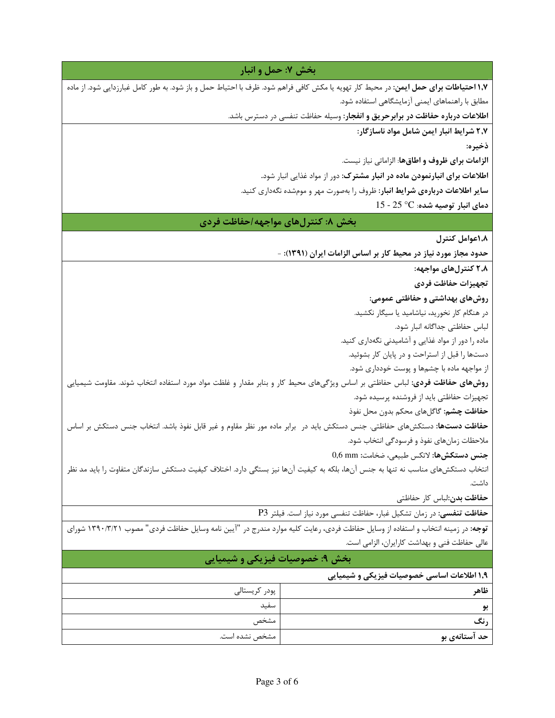| بخش ۷: حمل و انبار                                                                                                                                                                |                                                                                      |  |
|-----------------------------------------------------------------------------------------------------------------------------------------------------------------------------------|--------------------------------------------------------------------------------------|--|
| <b>۱٫۷ احتیاطات برای حمل ایمن</b> : در محیط کار تهویه یا مکش کافی فراهم شود. ظرف با احتیاط حمل و باز شود. به طور کامل غبارزدایی شود. از ماده                                      |                                                                                      |  |
|                                                                                                                                                                                   | مطابق با راهنماهای ایمنی آزمایشگاهی استفاده شود.                                     |  |
|                                                                                                                                                                                   | <b>اطلاعات درباره حفاظت در برابرحریق و انفجار</b> : وسیله حفاظت تنفسی در دسترس باشد. |  |
|                                                                                                                                                                                   | ٢٫٧ شرايط انبار ايمن شامل مواد ناسازگار:                                             |  |
|                                                                                                                                                                                   | ذخيره:                                                                               |  |
|                                                                                                                                                                                   | <b>الزامات برای ظروف و اطاقها</b> : الزاماتی نیاز نیست.                              |  |
|                                                                                                                                                                                   | اطلاعات برای انبارنمودن ماده در انبار مشترک: دور از مواد غذایی انبار شود.            |  |
|                                                                                                                                                                                   | <b>سایر اطلاعات دربارهی شرایط انبار</b> : ظروف را بهصورت مهر و مومشده نگهداری کنید.  |  |
|                                                                                                                                                                                   | $15$ - دمای انبار توصیه شده: $\degree$ $\degree$ - $25$                              |  |
| بخش ۸: کنترلهای مواجهه/حفاظت فردی                                                                                                                                                 |                                                                                      |  |
|                                                                                                                                                                                   | 1,۸عوامل کنترل                                                                       |  |
|                                                                                                                                                                                   | حدود مجاز مورد نیاز در محیط کار بر اساس الزامات ایران (۱۳۹۱): -                      |  |
|                                                                                                                                                                                   | ۲٫۸ کنترلهای مواجهه:                                                                 |  |
|                                                                                                                                                                                   | تجهيزات حفاظت فردى                                                                   |  |
|                                                                                                                                                                                   | روشهای بهداشتی و حفاظتی عمومی:                                                       |  |
|                                                                                                                                                                                   | در هنگام کار نخورید، نیاشامید یا سیگار نکشید.                                        |  |
|                                                                                                                                                                                   | لباس حفاظتي جداگانه انبار شود.                                                       |  |
|                                                                                                                                                                                   | ماده را دور از مواد غذایی و آشامیدنی نگهداری کنید.                                   |  |
|                                                                                                                                                                                   | دستها را قبل از استراحت و در پایان کار بشوئید.                                       |  |
|                                                                                                                                                                                   | از مواجهه ماده با چشمها و پوست خودداری شود.                                          |  |
| <b>روشهای حفاظت فردی</b> : لباس حفاظتی بر اساس ویژگیهای محیط کار و بنابر مقدار و غلظت مواد مورد استفاده انتخاب شوند. مقاومت شیمیایی                                               |                                                                                      |  |
|                                                                                                                                                                                   | تجهیزات حفاظتی باید از فروشنده پرسیده شود.                                           |  |
|                                                                                                                                                                                   | <b>حفاظت چشم:</b> گاگلهای محکم بدون محل نفوذ                                         |  |
| <b>حفاظت دستها:</b> دستکشهای حفاظتی. جنس دستکش باید در <sub>:</sub> برابر ماده مور نظر مقاوم و غیر قابل نفوذ باشد. انتخاب جنس دستکش بر اساس                                       |                                                                                      |  |
|                                                                                                                                                                                   | ملاحظات زمانهای نفوذ و فرسودگی انتخاب شود.                                           |  |
|                                                                                                                                                                                   | جنس دستكشها: لاتكس طبيعي، ضخامت: 0,6 mm                                              |  |
| انتخاب دستکشهای مناسب نه تنها به جنس آنها، بلکه به کیفیت آنها نیز بستگی دارد. اختلاف کیفیت دستکش سازندگان متفاوت را باید مد نظر                                                   |                                                                                      |  |
|                                                                                                                                                                                   | داشت.                                                                                |  |
|                                                                                                                                                                                   | حفاظت بدن:لباس كار حفاظتى                                                            |  |
|                                                                                                                                                                                   | حفاظت تنفسي: در زمان تشكيل غبار، حفاظت تنفسي مورد نياز است. فيلتر P3                 |  |
| توجه: در زمینه انتخاب و استفاده از وسایل حفاظت فردی، رعایت کلیه موارد مندرج در "آیین نامه وسایل حفاظت فردی" مصوب ۱۳۹۰/۳/۲۱ شورای<br>عالی حفاظت فنی و بهداشت کارایران، الزامی است. |                                                                                      |  |
| بخش ۹: خصوصیات فیزیکی و شیمیایی                                                                                                                                                   |                                                                                      |  |
|                                                                                                                                                                                   | ۱٫۹ اطلاعات اساسی خصوصیات فیزیکی و شیمیایی                                           |  |
| پودر کریستالی                                                                                                                                                                     | ظاهر                                                                                 |  |
| سفيد                                                                                                                                                                              | بو                                                                                   |  |
| مشخص                                                                                                                                                                              | رنگ                                                                                  |  |
| مشخص نشده است.                                                                                                                                                                    | حد آستانهي بو                                                                        |  |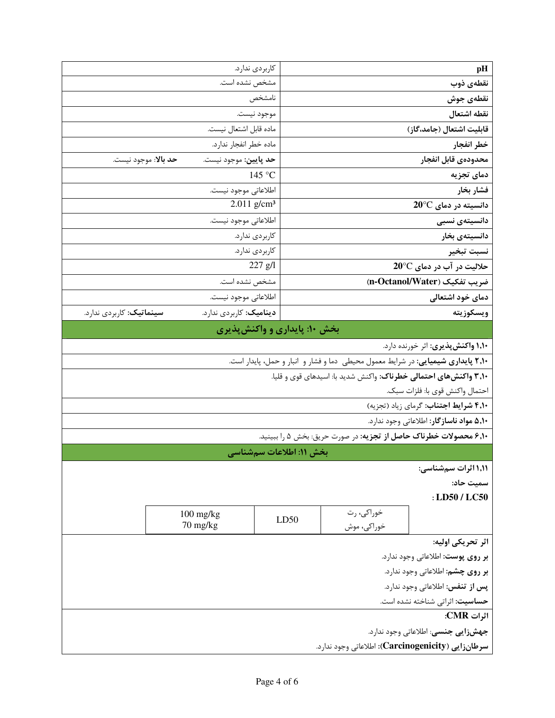| pH                                                                                       |                           | كاربردى ندارد.                                |                                  |
|------------------------------------------------------------------------------------------|---------------------------|-----------------------------------------------|----------------------------------|
| نقطەى ذوب                                                                                |                           | مشخص نشده است.                                |                                  |
| نقطهى جوش                                                                                |                           | نامشخص                                        |                                  |
| نقطه اشتعال                                                                              | موجود نيست.               |                                               |                                  |
| قابلیت اشتعال (جامد،گاز)                                                                 |                           | ماده قابل اشتعال نيست.                        |                                  |
| خطر انفجار                                                                               |                           | ماده خطر انفجار ندارد.                        |                                  |
| محدودهي قابل انفجار                                                                      |                           | حد پايين: موجود نيست.<br>حد بالا: موجود نيست. |                                  |
| دمای تجزیه                                                                               | 145 °C                    |                                               |                                  |
| فشار بخار                                                                                |                           | اطلاعاتي موجود نيست.                          |                                  |
| $20^{\circ}$ دانسیته در دمای                                                             | $2.011$ g/cm <sup>3</sup> |                                               |                                  |
| دانسیتەی نسبی                                                                            |                           | اطلاعاتي موجود نيست.                          |                                  |
| دانسیتەی بخار                                                                            | كاربردى ندارد.            |                                               |                                  |
| نسبت تبخير                                                                               | كاربردى ندارد.            |                                               |                                  |
| حلالیت در آب در دمای 20°C                                                                | $227$ $g/l$               |                                               |                                  |
| ضريب تفكيك (n-Octanol/Water)                                                             |                           | مشخص نشده است.                                |                                  |
| دمای خود اشتعالی                                                                         |                           | اطلاعاتي موجود نيست.                          |                                  |
| ويسكوزيته                                                                                |                           | ديناميک: کاربردي ندارد.                       | <b>سینماتیک</b> : کاربردی ندارد. |
| بخش ۱۰: پایداری و واکنشپذیری                                                             |                           |                                               |                                  |
| ۱٫۱۰ واکنش پذیری: اثر خورنده دارد.                                                       |                           |                                               |                                  |
| <b>۲٫۱۰ پایداری شیمیایی</b> : در شرایط معمول محیطی دما و فشار و انبار و حمل، پایدار است. |                           |                                               |                                  |
| ۳٫۱۰ واکنشهای احتمالی خطرناک: واکنش شدید با: اسیدهای قوی و قلیا.                         |                           |                                               |                                  |
| احتمال واكنش قوى با: فلزات سبك.                                                          |                           |                                               |                                  |
| ۴٫۱۰ شرايط اجتناب: گرمای زياد (تجزيه)                                                    |                           |                                               |                                  |
| ۵٫۱۰ مواد ناسازگار: اطلاعاتی وجود ندارد.                                                 |                           |                                               |                                  |
| ۶٬۱۰ محصولات خطرناک حاصل از تجزیه: در صورت حریق: بخش ۵ را ببینید.                        |                           |                                               |                                  |
| بخش ۱۱: اطلاعات سمشناسی                                                                  |                           |                                               |                                  |
| ۱٬۱۱ اثرات سمشناسی:                                                                      |                           |                                               |                                  |
| سميت حاد:                                                                                |                           |                                               |                                  |
| : LD50 / LC50                                                                            |                           |                                               |                                  |
| خوراکی، رت                                                                               |                           | $100$ mg/kg                                   |                                  |
| LD50<br>خوراکی، موش                                                                      |                           | 70 mg/kg                                      |                                  |
| اثر تحريكي اوليه:                                                                        |                           |                                               |                                  |
| بر روی پوست: اطلاعاتی وجود ندارد.                                                        |                           |                                               |                                  |
| بر روی چشم: اطلاعاتی وجود ندارد.                                                         |                           |                                               |                                  |
| پس از تنفس: اطلاعاتی وجود ندارد.                                                         |                           |                                               |                                  |
| حساسيت: اثراتي شناخته نشده است.                                                          |                           |                                               |                                  |
| اثرات CMR:                                                                               |                           |                                               |                                  |
| <b>جهشزایی جنسی</b> : اطلاعاتی وجود ندارد.                                               |                           |                                               |                                  |
| سرطانزايي (Carcinogenicity): اطلاعاتي وجود ندارد.                                        |                           |                                               |                                  |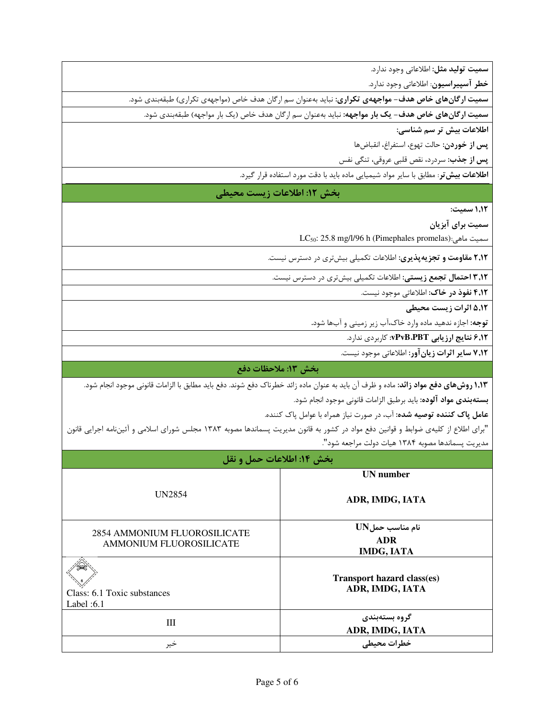<mark>سمیت تولید مثل:</mark> اطلاعاتی وجود ندارد.

**خطر آسپیراسیون**: اطلاعاتی وجود ندارد.

**سمیت ارگانهای خاص هدف- مواجههی تکراری**: نباید بهعنوان سم ارگان هدف خاص (مواجههی تکراری) طبقهبندی شود.

سمیت ارگانهای خاص هدف- یک بار مواجهه: نباید بهعنوان سم ارگان هدف خاص (یک بار مواجهه) طبقهبندی شود.

اطلاعات بیش تر سم شناسی:

**پس از خوردن**: حالت تهوع، استفراغ، انقباضها

**پس از جذب**: سردرد، نقص قلبی عروقی، تنگی نفس

ا**طلاعات بیش تر**: مطابق با سایر مواد شیمیایی ماده باید با دقت مورد استفاده قرار گیرد.

### بخش ١٢: اطلاعات زيست محيطي

1,1٢ سميت:

سمیت برای آبزیان

سميت ماهي:(LC<sub>50</sub>: 25.8 mg/l/96 h (Pimephales promelas

۲٫۱۲ مقاومت و تجزیهپذیری: اطلاعات تکمیلی بیشتری در دسترس نیست.

**۳٫۱۲ احتمال تجمع زیستی:** اطلاعات تکمیلی بیشتری در دسترس نیست.

۴٫**۱۲ نفوذ در خاک**: اطلاعاتی موجود نیست.

۵٬۱۲ اثرات زیست محیطی

**توجه:** اجازه ندهید ماده وارد خاک،آب زیر زمینی و آبها شود.

۶٫۱۲ نتایج ارزیابی vPvB.PBT: کاربردی ندارد.

۷٬۱۲ سایر اثرات زیان آور: اطلاعاتی موجود نیست.

### بخش ١٣: ملاحظات دفع

**۱٫۱۳ روشهای دفع مواد زائد:** ماده و ظرف آن باید به عنوان ماده زائد خطرناک دفع شوند. دفع باید مطابق با الزامات قانونی موجود انجام شود.

**بستهبندي مواد آلوده:** بايد برطبق الزامات قانوني موجود انجام شود.

عامل پاک کننده توصیه شده: آب، در صورت نیاز همراه با عوامل پاک کننده.

"برای اطلاع از کلیهی ضوابط و قوانین دفع مواد در کشور به قانون مدیریت پسماندها مصوبه ۱۳۸۳ مجلس شورای اسلامی و آئیننامه اجرایی قانون مديريت پسماندها مصوبه ١٣٨۴ هيات دولت مراجعه شود".

| بخش ١٤: اطلاعات حمل و نقل                                      |                                                     |  |
|----------------------------------------------------------------|-----------------------------------------------------|--|
|                                                                | <b>UN</b> number                                    |  |
| <b>UN2854</b>                                                  | ADR, IMDG, IATA                                     |  |
| 2854 AMMONIUM FLUOROSILICATE<br><b>AMMONIUM FLUOROSILICATE</b> | نام مناسب حمل UN<br><b>ADR</b><br><b>IMDG, IATA</b> |  |
| Class: 6.1 Toxic substances<br>Label: $6.1$                    | Transport hazard class(es)<br>ADR, IMDG, IATA       |  |
| Ш                                                              | گروه بستهبندی<br>ADR, IMDG, IATA                    |  |
| خير                                                            | خطرات محيطى                                         |  |